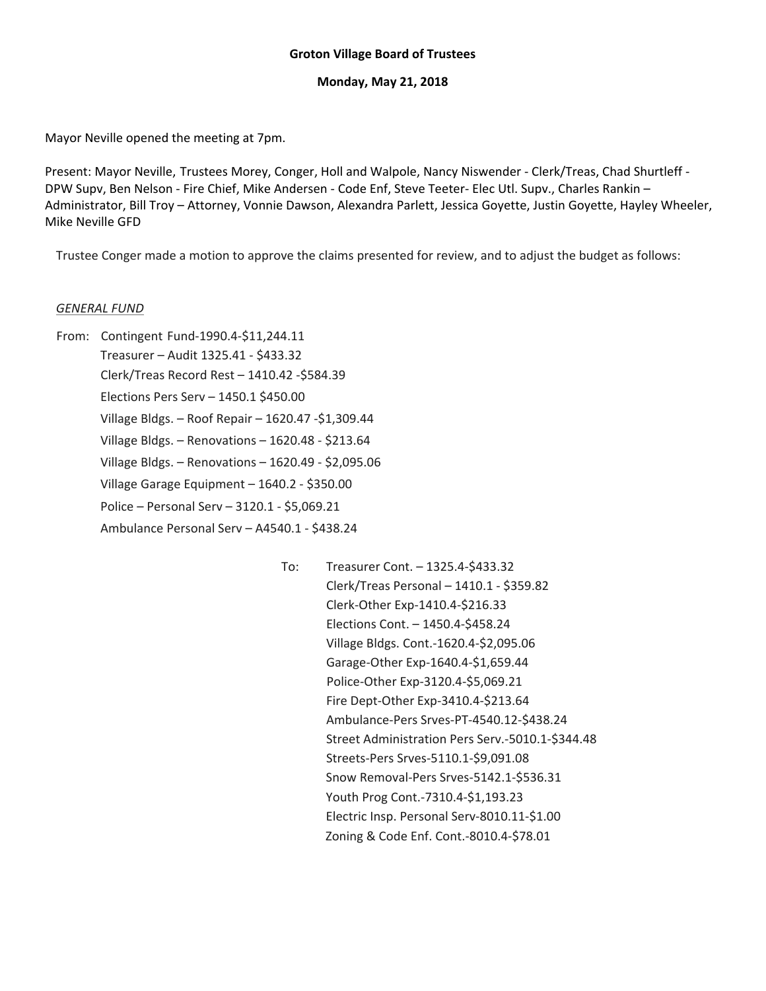#### **Groton Village Board of Trustees**

#### **Monday, May 21, 2018**

Mayor Neville opened the meeting at 7pm.

Present: Mayor Neville, Trustees Morey, Conger, Holl and Walpole, Nancy Niswender ‐ Clerk/Treas, Chad Shurtleff ‐ DPW Supv, Ben Nelson ‐ Fire Chief, Mike Andersen ‐ Code Enf, Steve Teeter‐ Elec Utl. Supv., Charles Rankin – Administrator, Bill Troy – Attorney, Vonnie Dawson, Alexandra Parlett, Jessica Goyette, Justin Goyette, Hayley Wheeler, Mike Neville GFD

Trustee Conger made a motion to approve the claims presented for review, and to adjust the budget as follows:

#### *GENERAL FUND*

- From: Contingent Fund‐1990.4‐\$11,244.11 Treasurer – Audit 1325.41 ‐ \$433.32 Clerk/Treas Record Rest – 1410.42 ‐\$584.39 Elections Pers Serv – 1450.1 \$450.00 Village Bldgs. – Roof Repair – 1620.47 ‐\$1,309.44 Village Bldgs. – Renovations – 1620.48 ‐ \$213.64 Village Bldgs. – Renovations – 1620.49 ‐ \$2,095.06 Village Garage Equipment – 1640.2 ‐ \$350.00 Police – Personal Serv – 3120.1 ‐ \$5,069.21 Ambulance Personal Serv – A4540.1 ‐ \$438.24
	- To: Treasurer Cont. 1325.4‐\$433.32 Clerk/Treas Personal – 1410.1 ‐ \$359.82 Clerk‐Other Exp‐1410.4‐\$216.33 Elections Cont. – 1450.4‐\$458.24 Village Bldgs. Cont.‐1620.4‐\$2,095.06 Garage‐Other Exp‐1640.4‐\$1,659.44 Police‐Other Exp‐3120.4‐\$5,069.21 Fire Dept‐Other Exp‐3410.4‐\$213.64 Ambulance‐Pers Srves‐PT‐4540.12‐\$438.24 Street Administration Pers Serv.‐5010.1‐\$344.48 Streets‐Pers Srves‐5110.1‐\$9,091.08 Snow Removal‐Pers Srves‐5142.1‐\$536.31 Youth Prog Cont.‐7310.4‐\$1,193.23 Electric Insp. Personal Serv‐8010.11‐\$1.00 Zoning & Code Enf. Cont.‐8010.4‐\$78.01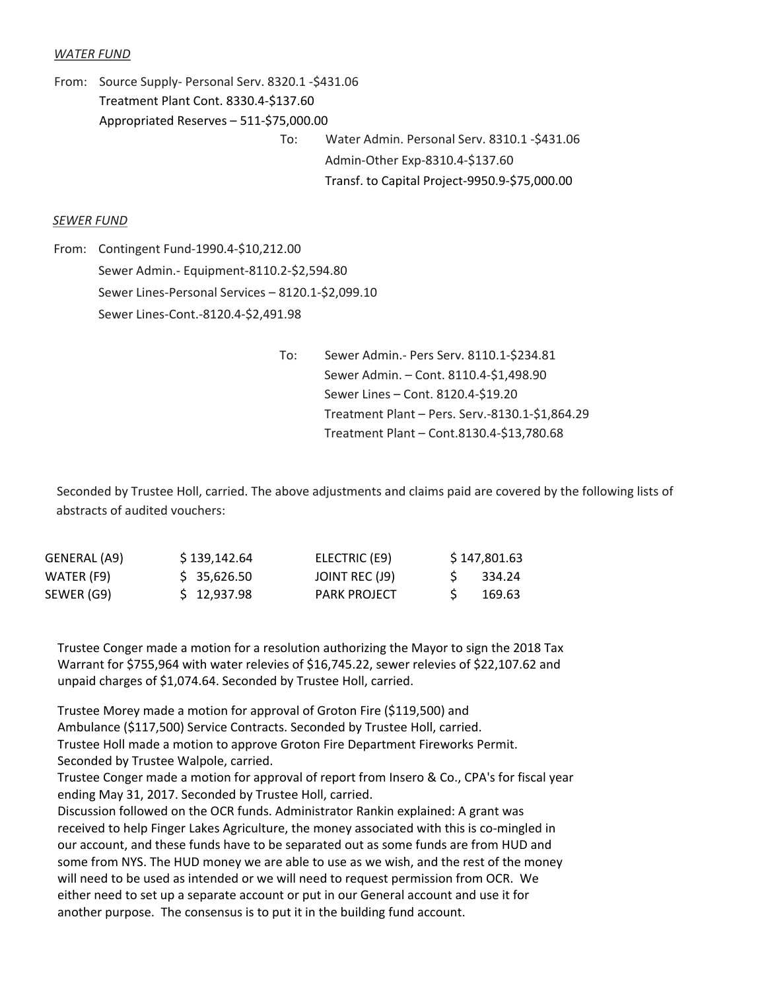#### *WATER FUND*

From: Source Supply‐ Personal Serv. 8320.1 ‐\$431.06 Treatment Plant Cont. 8330.4‐\$137.60 Appropriated Reserves – 511‐\$75,000.00 To: Water Admin. Personal Serv. 8310.1 ‐\$431.06 Admin‐Other Exp‐8310.4‐\$137.60 Transf. to Capital Project‐9950.9‐\$75,000.00

#### *SEWER FUND*

From: Contingent Fund‐1990.4‐\$10,212.00 Sewer Admin.‐ Equipment‐8110.2‐\$2,594.80 Sewer Lines‐Personal Services – 8120.1‐\$2,099.10 Sewer Lines‐Cont.‐8120.4‐\$2,491.98

> To: Sewer Admin.‐ Pers Serv. 8110.1‐\$234.81 Sewer Admin. – Cont. 8110.4‐\$1,498.90 Sewer Lines – Cont. 8120.4‐\$19.20 Treatment Plant – Pers. Serv.‐8130.1‐\$1,864.29 Treatment Plant – Cont.8130.4‐\$13,780.68

Seconded by Trustee Holl, carried. The above adjustments and claims paid are covered by the following lists of abstracts of audited vouchers:

| GENERAL (A9) | \$139,142.64 | ELECTRIC (E9)       | \$147,801.63 |
|--------------|--------------|---------------------|--------------|
| WATER (F9)   | \$35,626.50  | JOINT REC (J9)      | -334.24      |
| SEWER (G9)   | \$12,937.98  | <b>PARK PROJECT</b> | 169.63       |

Trustee Conger made a motion for a resolution authorizing the Mayor to sign the 2018 Tax Warrant for \$755,964 with water relevies of \$16,745.22, sewer relevies of \$22,107.62 and unpaid charges of \$1,074.64. Seconded by Trustee Holl, carried.

Trustee Morey made a motion for approval of Groton Fire (\$119,500) and Ambulance (\$117,500) Service Contracts. Seconded by Trustee Holl, carried.<br>Trustee Holl made a motion to approve Groton Fire Department Fireworks Permit.

Seconded by Trustee Walpole, carried.<br> Trustee Conger made a motion for approval of report from Insero & Co., CPA's for fiscal year ending May 31, 2017. Seconded by Trustee Holl, carried.

Discussion followed on the OCR funds. Administrator Rankin explained: A grant was received to help Finger Lakes Agriculture, the money associated with this is co-mingled in our account, and these funds have to be separated out as some funds are from HUD and some from NYS. The HUD money we are able to use as we wish, and the rest of the money will need to be used as intended or we will need to request permission from OCR. We either need to set up a separate account or put in our General account and use it for another purpose. The consensus is to put it in the building fund account.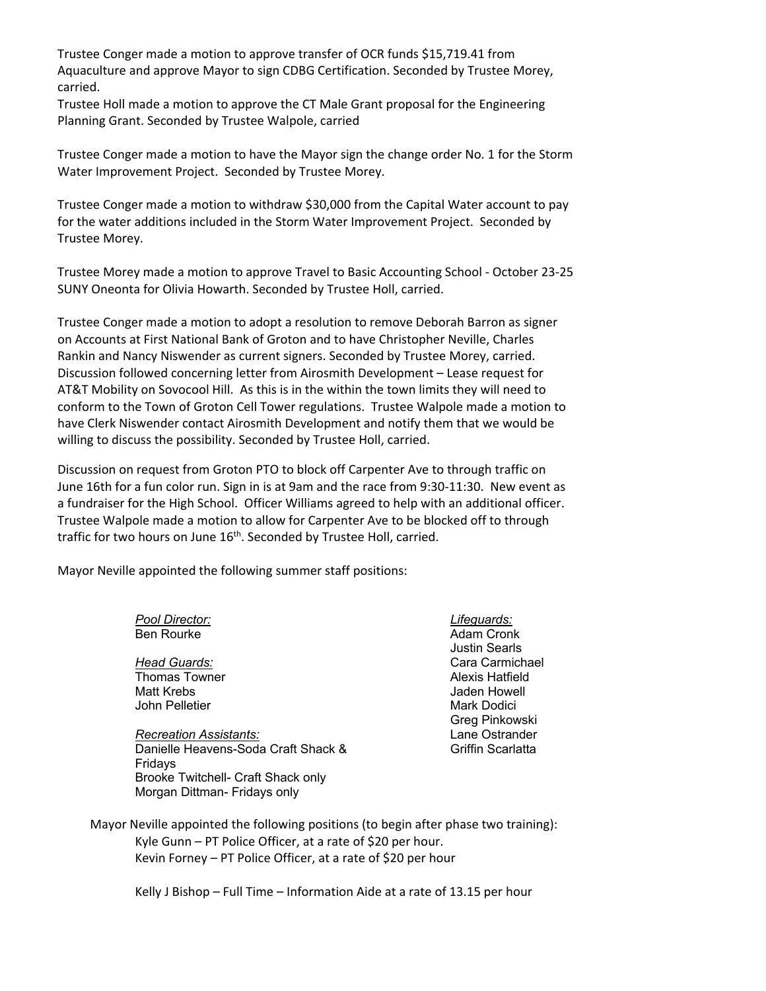Trustee Conger made a motion to approve transfer of OCR funds \$15,719.41 from Aquaculture and approve Mayor to sign CDBG Certification. Seconded by Trustee Morey, carried.

Trustee Holl made a motion to approve the CT Male Grant proposal for the Engineering Planning Grant. Seconded by Trustee Walpole, carried

Trustee Conger made a motion to have the Mayor sign the change order No. 1 for the Storm Water Improvement Project. Seconded by Trustee Morey.

Trustee Conger made a motion to withdraw \$30,000 from the Capital Water account to pay for the water additions included in the Storm Water Improvement Project. Seconded by Trustee Morey.

Trustee Morey made a motion to approve Travel to Basic Accounting School ‐ October 23‐25 SUNY Oneonta for Olivia Howarth. Seconded by Trustee Holl, carried.

Trustee Conger made a motion to adopt a resolution to remove Deborah Barron as signer on Accounts at First National Bank of Groton and to have Christopher Neville, Charles Rankin and Nancy Niswender as current signers. Seconded by Trustee Morey, carried. Discussion followed concerning letter from Airosmith Development – Lease request for AT&T Mobility on Sovocool Hill. As this is in the within the town limits they will need to conform to the Town of Groton Cell Tower regulations. Trustee Walpole made a motion to have Clerk Niswender contact Airosmith Development and notify them that we would be willing to discuss the possibility. Seconded by Trustee Holl, carried.

Discussion on request from Groton PTO to block off Carpenter Ave to through traffic on June 16th for a fun color run. Sign in is at 9am and the race from 9:30‐11:30. New event as a fundraiser for the High School. Officer Williams agreed to help with an additional officer. Trustee Walpole made a motion to allow for Carpenter Ave to be blocked off to through traffic for two hours on June 16<sup>th</sup>. Seconded by Trustee Holl, carried.

Mayor Neville appointed the following summer staff positions:

Morgan Dittman- Fridays only

| Pool Director:                      | Lifeguards:          |
|-------------------------------------|----------------------|
| <b>Ben Rourke</b>                   | Adam Cronk           |
|                                     | <b>Justin Searls</b> |
| Head Guards:                        | Cara Carmichael      |
| <b>Thomas Towner</b>                | Alexis Hatfield      |
| Matt Krebs                          | Jaden Howell         |
| John Pelletier                      | Mark Dodici          |
|                                     | Greg Pinkowski       |
| <b>Recreation Assistants:</b>       | Lane Ostrander       |
| Danielle Heavens-Soda Craft Shack & | Griffin Scarlatta    |
| Fridays                             |                      |
| Brooke Twitchell- Craft Shack only  |                      |

Mayor Neville appointed the following positions (to begin after phase two training): Kyle Gunn – PT Police Officer, at a rate of \$20 per hour. Kevin Forney – PT Police Officer, at a rate of \$20 per hour

Kelly J Bishop – Full Time – Information Aide at a rate of 13.15 per hour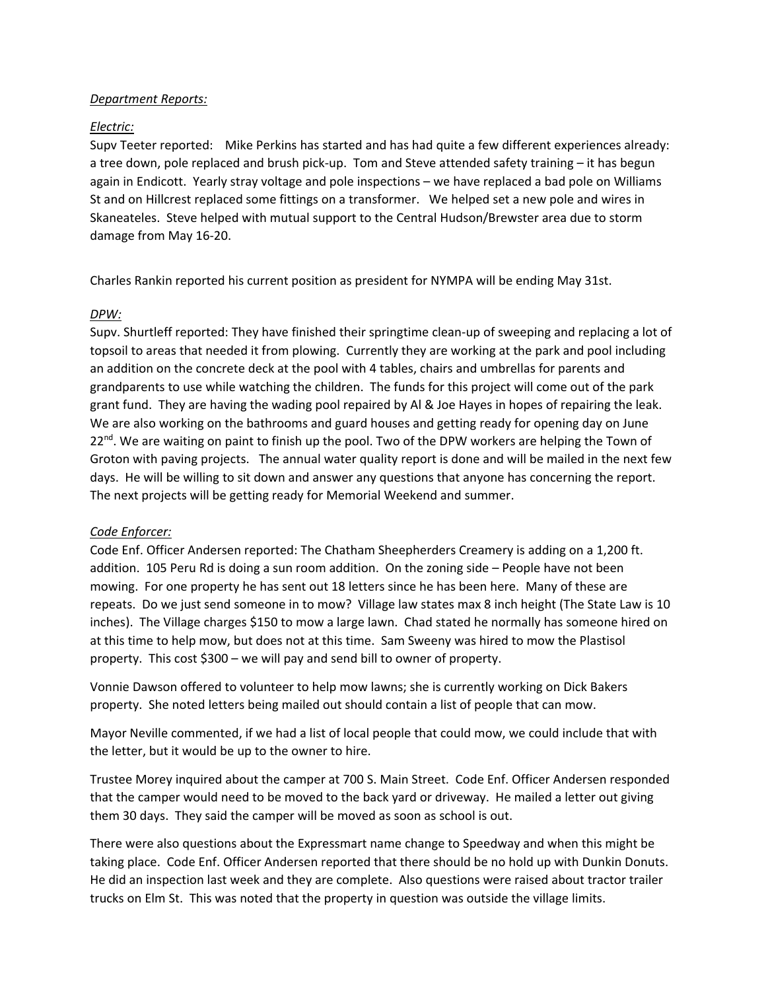#### *Department Reports:*

## *Electric:*

Supv Teeter reported: Mike Perkins has started and has had quite a few different experiences already: a tree down, pole replaced and brush pick-up. Tom and Steve attended safety training – it has begun again in Endicott. Yearly stray voltage and pole inspections – we have replaced a bad pole on Williams St and on Hillcrest replaced some fittings on a transformer. We helped set a new pole and wires in Skaneateles. Steve helped with mutual support to the Central Hudson/Brewster area due to storm damage from May 16‐20.

Charles Rankin reported his current position as president for NYMPA will be ending May 31st.

## *DPW:*

Supv. Shurtleff reported: They have finished their springtime clean‐up of sweeping and replacing a lot of topsoil to areas that needed it from plowing. Currently they are working at the park and pool including an addition on the concrete deck at the pool with 4 tables, chairs and umbrellas for parents and grandparents to use while watching the children. The funds for this project will come out of the park grant fund. They are having the wading pool repaired by Al & Joe Hayes in hopes of repairing the leak. We are also working on the bathrooms and guard houses and getting ready for opening day on June  $22^{\text{nd}}$ . We are waiting on paint to finish up the pool. Two of the DPW workers are helping the Town of Groton with paving projects. The annual water quality report is done and will be mailed in the next few days. He will be willing to sit down and answer any questions that anyone has concerning the report. The next projects will be getting ready for Memorial Weekend and summer.

## *Code Enforcer:*

Code Enf. Officer Andersen reported: The Chatham Sheepherders Creamery is adding on a 1,200 ft. addition. 105 Peru Rd is doing a sun room addition. On the zoning side – People have not been mowing. For one property he has sent out 18 letters since he has been here. Many of these are repeats. Do we just send someone in to mow? Village law states max 8 inch height (The State Law is 10 inches). The Village charges \$150 to mow a large lawn. Chad stated he normally has someone hired on at this time to help mow, but does not at this time. Sam Sweeny was hired to mow the Plastisol property. This cost \$300 – we will pay and send bill to owner of property.

Vonnie Dawson offered to volunteer to help mow lawns; she is currently working on Dick Bakers property. She noted letters being mailed out should contain a list of people that can mow.

Mayor Neville commented, if we had a list of local people that could mow, we could include that with the letter, but it would be up to the owner to hire.

Trustee Morey inquired about the camper at 700 S. Main Street. Code Enf. Officer Andersen responded that the camper would need to be moved to the back yard or driveway. He mailed a letter out giving them 30 days. They said the camper will be moved as soon as school is out.

There were also questions about the Expressmart name change to Speedway and when this might be taking place. Code Enf. Officer Andersen reported that there should be no hold up with Dunkin Donuts. He did an inspection last week and they are complete. Also questions were raised about tractor trailer trucks on Elm St. This was noted that the property in question was outside the village limits.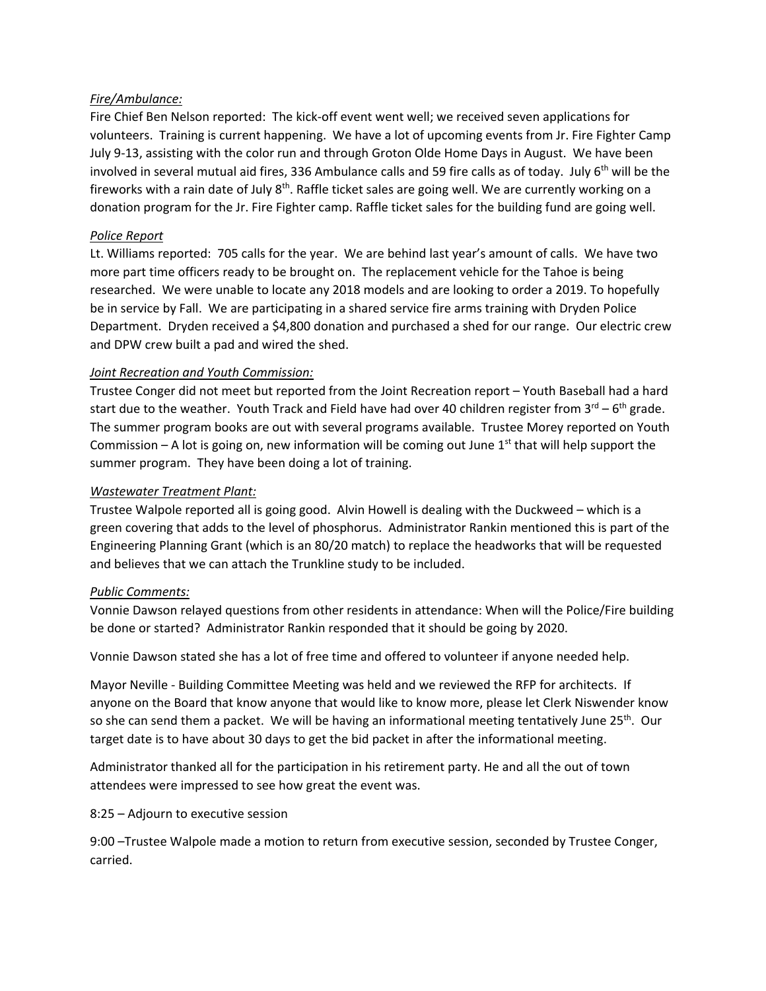# *Fire/Ambulance:*

Fire Chief Ben Nelson reported: The kick‐off event went well; we received seven applications for volunteers. Training is current happening. We have a lot of upcoming events from Jr. Fire Fighter Camp July 9‐13, assisting with the color run and through Groton Olde Home Days in August. We have been involved in several mutual aid fires, 336 Ambulance calls and 59 fire calls as of today. July 6<sup>th</sup> will be the fireworks with a rain date of July  $8<sup>th</sup>$ . Raffle ticket sales are going well. We are currently working on a donation program for the Jr. Fire Fighter camp. Raffle ticket sales for the building fund are going well.

## *Police Report*

Lt. Williams reported: 705 calls for the year. We are behind last year's amount of calls. We have two more part time officers ready to be brought on. The replacement vehicle for the Tahoe is being researched. We were unable to locate any 2018 models and are looking to order a 2019. To hopefully be in service by Fall. We are participating in a shared service fire arms training with Dryden Police Department. Dryden received a \$4,800 donation and purchased a shed for our range. Our electric crew and DPW crew built a pad and wired the shed.

# *Joint Recreation and Youth Commission:*

Trustee Conger did not meet but reported from the Joint Recreation report – Youth Baseball had a hard start due to the weather. Youth Track and Field have had over 40 children register from  $3^{rd} - 6^{th}$  grade. The summer program books are out with several programs available. Trustee Morey reported on Youth Commission – A lot is going on, new information will be coming out June 1st that will help support the summer program. They have been doing a lot of training.

# *Wastewater Treatment Plant:*

Trustee Walpole reported all is going good. Alvin Howell is dealing with the Duckweed – which is a green covering that adds to the level of phosphorus. Administrator Rankin mentioned this is part of the Engineering Planning Grant (which is an 80/20 match) to replace the headworks that will be requested and believes that we can attach the Trunkline study to be included.

## *Public Comments:*

Vonnie Dawson relayed questions from other residents in attendance: When will the Police/Fire building be done or started? Administrator Rankin responded that it should be going by 2020.

Vonnie Dawson stated she has a lot of free time and offered to volunteer if anyone needed help.

Mayor Neville ‐ Building Committee Meeting was held and we reviewed the RFP for architects. If anyone on the Board that know anyone that would like to know more, please let Clerk Niswender know so she can send them a packet. We will be having an informational meeting tentatively June 25<sup>th</sup>. Our target date is to have about 30 days to get the bid packet in after the informational meeting.

Administrator thanked all for the participation in his retirement party. He and all the out of town attendees were impressed to see how great the event was.

8:25 – Adjourn to executive session

9:00 –Trustee Walpole made a motion to return from executive session, seconded by Trustee Conger, carried.